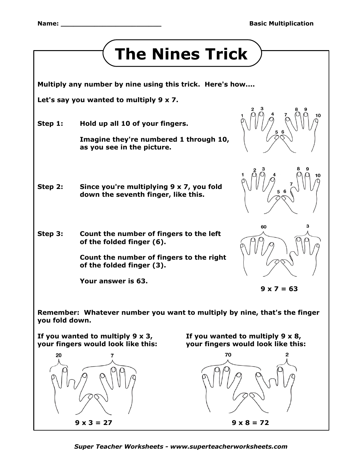

 $9 \times 3 = 27$   $9 \times 8 = 72$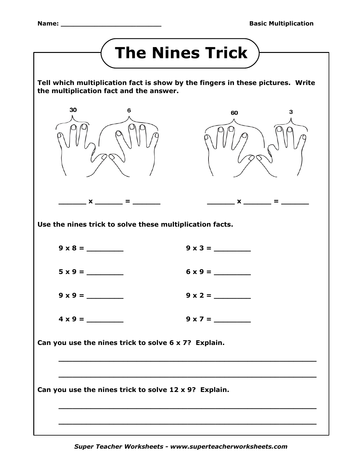| <b>The Nines Trick</b>                                                                                                                                                        |   |                |  |  |
|-------------------------------------------------------------------------------------------------------------------------------------------------------------------------------|---|----------------|--|--|
| Tell which multiplication fact is show by the fingers in these pictures. Write<br>the multiplication fact and the answer.                                                     |   |                |  |  |
| 30                                                                                                                                                                            | 6 | 60<br>з        |  |  |
| $\mathbf{x} =$<br>$\mathbf{x} =$<br>Use the nines trick to solve these multiplication facts.                                                                                  |   |                |  |  |
| $9 \times 8 =$                                                                                                                                                                |   | $9 \times 3 =$ |  |  |
| $5 \times 9 =$                                                                                                                                                                |   | $6 \times 9 =$ |  |  |
| $9 \times 9 =$                                                                                                                                                                |   | $9 \times 2 =$ |  |  |
| $4 \times 9 =$                                                                                                                                                                |   | $9 \times 7 =$ |  |  |
| Can you use the nines trick to solve 6 x 7? Explain.<br><u> 1999 - Johann John Stone, market fra de francezh eo ar den e gant e gant a gant a gant a gant a gant a gant a</u> |   |                |  |  |
| Can you use the nines trick to solve 12 x 9? Explain.                                                                                                                         |   |                |  |  |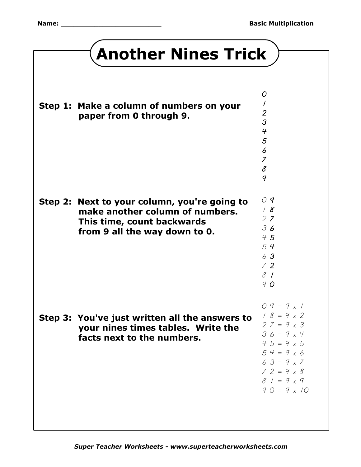## **Another Nines Trick**

| Step 1: Make a column of numbers on your<br>paper from 0 through 9.                                                                            | O<br>$\prime$<br>$\overline{2}$<br>$\mathcal{S}$<br>$\overline{4}$<br>5<br>$\boldsymbol{\mathit{6}}$<br>$\overline{7}$<br>8<br>$\mathcal{q}$                                                                    |
|------------------------------------------------------------------------------------------------------------------------------------------------|-----------------------------------------------------------------------------------------------------------------------------------------------------------------------------------------------------------------|
| Step 2: Next to your column, you're going to<br>make another column of numbers.<br>This time, count backwards<br>from 9 all the way down to 0. | O <sub>q</sub><br>/8<br>2Z<br>36<br>45<br>54<br>63<br>72<br>81<br>90                                                                                                                                            |
| Step 3: You've just written all the answers to<br>your nines times tables. Write the<br>facts next to the numbers.                             | $09 = 9 \times 1$<br>$18 = 9 \times 2$<br>$27 = 9 \times 3$<br>$36 = 9 \times 4$<br>$45 = 9 \times 5$<br>$54 = 9 \times 6$<br>$63 = 9 \times 7$<br>$72 = 9 \times 8$<br>$81 = 9 \times 9$<br>$90 = 9 \times 10$ |